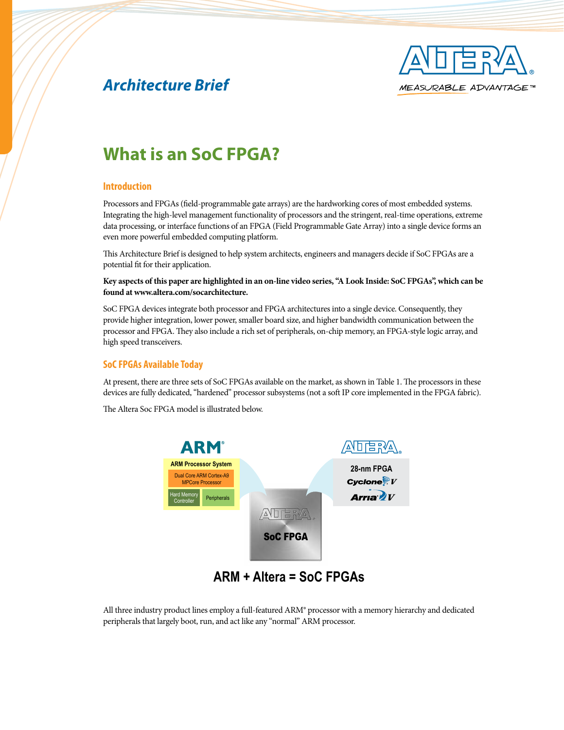

# *Architecture Brief*

# **What is an SoC FPGA?**

### **Introduction**

Processors and FPGAs (field-programmable gate arrays) are the hardworking cores of most embedded systems. Integrating the high-level management functionality of processors and the stringent, real-time operations, extreme data processing, or interface functions of an FPGA (Field Programmable Gate Array) into a single device forms an even more powerful embedded computing platform.

This Architecture Brief is designed to help system architects, engineers and managers decide if SoC FPGAs are a potential fit for their application.

**Key aspects of this paper are highlighted in an on-line video series, "A Look Inside: SoC FPGAs", which can be found at www.altera.com/socarchitecture.**

SoC FPGA devices integrate both processor and FPGA architectures into a single device. Consequently, they provide higher integration, lower power, smaller board size, and higher bandwidth communication between the processor and FPGA. They also include a rich set of peripherals, on-chip memory, an FPGA-style logic array, and high speed transceivers.

### **SoC FPGAs Available Today**

At present, there are three sets of SoC FPGAs available on the market, as shown in Table 1. The processors in these devices are fully dedicated, "hardened" processor subsystems (not a soft IP core implemented in the FPGA fabric).

The Altera Soc FPGA model is illustrated below.



**ARM + Altera = SoC FPGAs**

All three industry product lines employ a full-featured ARM® processor with a memory hierarchy and dedicated peripherals that largely boot, run, and act like any "normal" ARM processor.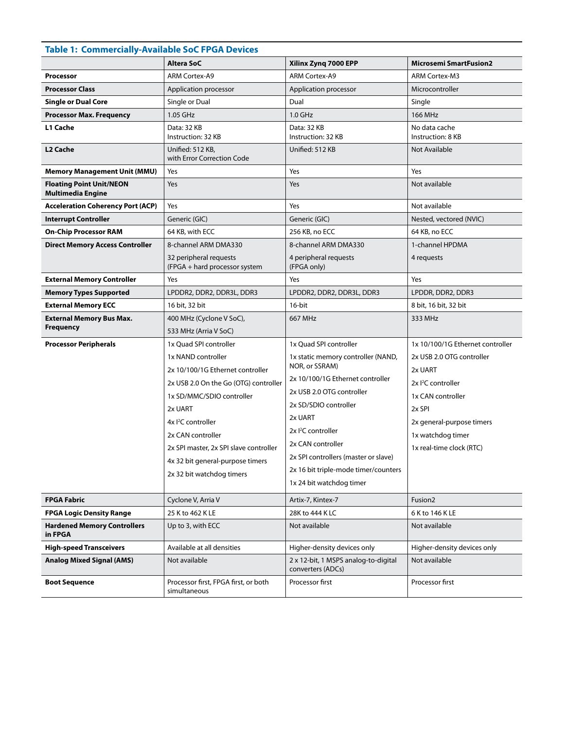# **Table 1: Commercially-Available SoC FPGA Devices**

|                                                             | <b>Altera SoC</b>                                                                                                                                                                                                                                                                                                                 | Xilinx Zyng 7000 EPP                                                                                                                                                                                                                                                                                                                                 | <b>Microsemi SmartFusion2</b>                                                                                                                                                                                         |
|-------------------------------------------------------------|-----------------------------------------------------------------------------------------------------------------------------------------------------------------------------------------------------------------------------------------------------------------------------------------------------------------------------------|------------------------------------------------------------------------------------------------------------------------------------------------------------------------------------------------------------------------------------------------------------------------------------------------------------------------------------------------------|-----------------------------------------------------------------------------------------------------------------------------------------------------------------------------------------------------------------------|
| <b>Processor</b>                                            | <b>ARM Cortex-A9</b>                                                                                                                                                                                                                                                                                                              | <b>ARM Cortex-A9</b>                                                                                                                                                                                                                                                                                                                                 | ARM Cortex-M3                                                                                                                                                                                                         |
| <b>Processor Class</b>                                      | Application processor                                                                                                                                                                                                                                                                                                             | Application processor                                                                                                                                                                                                                                                                                                                                | Microcontroller                                                                                                                                                                                                       |
| <b>Single or Dual Core</b>                                  | Single or Dual                                                                                                                                                                                                                                                                                                                    | Dual                                                                                                                                                                                                                                                                                                                                                 | Single                                                                                                                                                                                                                |
| <b>Processor Max. Frequency</b>                             | 1.05 GHz                                                                                                                                                                                                                                                                                                                          | 1.0 GHz                                                                                                                                                                                                                                                                                                                                              | 166 MHz                                                                                                                                                                                                               |
| L1 Cache                                                    | Data: 32 KB<br>Instruction: 32 KB                                                                                                                                                                                                                                                                                                 | Data: 32 KB<br>Instruction: 32 KB                                                                                                                                                                                                                                                                                                                    | No data cache<br>Instruction: 8 KB                                                                                                                                                                                    |
| L2 Cache                                                    | Unified: 512 KB,<br>with Error Correction Code                                                                                                                                                                                                                                                                                    | Unified: 512 KB                                                                                                                                                                                                                                                                                                                                      | Not Available                                                                                                                                                                                                         |
| <b>Memory Management Unit (MMU)</b>                         | Yes                                                                                                                                                                                                                                                                                                                               | Yes                                                                                                                                                                                                                                                                                                                                                  | Yes                                                                                                                                                                                                                   |
| <b>Floating Point Unit/NEON</b><br><b>Multimedia Engine</b> | Yes                                                                                                                                                                                                                                                                                                                               | Yes                                                                                                                                                                                                                                                                                                                                                  | Not available                                                                                                                                                                                                         |
| <b>Acceleration Coherency Port (ACP)</b>                    | Yes                                                                                                                                                                                                                                                                                                                               | Yes                                                                                                                                                                                                                                                                                                                                                  | Not available                                                                                                                                                                                                         |
| <b>Interrupt Controller</b>                                 | Generic (GIC)                                                                                                                                                                                                                                                                                                                     | Generic (GIC)                                                                                                                                                                                                                                                                                                                                        | Nested, vectored (NVIC)                                                                                                                                                                                               |
| <b>On-Chip Processor RAM</b>                                | 64 KB, with ECC                                                                                                                                                                                                                                                                                                                   | 256 KB, no ECC                                                                                                                                                                                                                                                                                                                                       | 64 KB, no ECC                                                                                                                                                                                                         |
| <b>Direct Memory Access Controller</b>                      | 8-channel ARM DMA330                                                                                                                                                                                                                                                                                                              | 8-channel ARM DMA330                                                                                                                                                                                                                                                                                                                                 | 1-channel HPDMA                                                                                                                                                                                                       |
|                                                             | 32 peripheral requests<br>(FPGA + hard processor system                                                                                                                                                                                                                                                                           | 4 peripheral requests<br>(FPGA only)                                                                                                                                                                                                                                                                                                                 | 4 requests                                                                                                                                                                                                            |
| <b>External Memory Controller</b>                           | Yes                                                                                                                                                                                                                                                                                                                               | Yes                                                                                                                                                                                                                                                                                                                                                  | Yes                                                                                                                                                                                                                   |
| <b>Memory Types Supported</b>                               | LPDDR2, DDR2, DDR3L, DDR3                                                                                                                                                                                                                                                                                                         | LPDDR2, DDR2, DDR3L, DDR3                                                                                                                                                                                                                                                                                                                            | LPDDR, DDR2, DDR3                                                                                                                                                                                                     |
| <b>External Memory ECC</b>                                  | 16 bit, 32 bit                                                                                                                                                                                                                                                                                                                    | 16-bit                                                                                                                                                                                                                                                                                                                                               | 8 bit, 16 bit, 32 bit                                                                                                                                                                                                 |
| <b>External Memory Bus Max.</b>                             | 400 MHz (Cyclone V SoC),                                                                                                                                                                                                                                                                                                          | 667 MHz                                                                                                                                                                                                                                                                                                                                              | 333 MHz                                                                                                                                                                                                               |
| <b>Frequency</b>                                            | 533 MHz (Arria V SoC)                                                                                                                                                                                                                                                                                                             |                                                                                                                                                                                                                                                                                                                                                      |                                                                                                                                                                                                                       |
| <b>Processor Peripherals</b>                                | 1x Quad SPI controller<br>1x NAND controller<br>2x 10/100/1G Ethernet controller<br>2x USB 2.0 On the Go (OTG) controller<br>1x SD/MMC/SDIO controller<br>2x UART<br>4x <sup>2</sup> C controller<br>2x CAN controller<br>2x SPI master, 2x SPI slave controller<br>4x 32 bit general-purpose timers<br>2x 32 bit watchdog timers | 1x Quad SPI controller<br>1x static memory controller (NAND,<br>NOR, or SSRAM)<br>2x 10/100/1G Ethernet controller<br>2x USB 2.0 OTG controller<br>2x SD/SDIO controller<br>2x UART<br>2x <sup>2</sup> C controller<br>2x CAN controller<br>2x SPI controllers (master or slave)<br>2x 16 bit triple-mode timer/counters<br>1x 24 bit watchdog timer | 1x 10/100/1G Ethernet controller<br>2x USB 2.0 OTG controller<br>2x UART<br>2x <sup>2</sup> C controller<br>1x CAN controller<br>2x SPI<br>2x general-purpose timers<br>1x watchdog timer<br>1x real-time clock (RTC) |
| <b>FPGA Fabric</b>                                          | Cyclone V, Arria V                                                                                                                                                                                                                                                                                                                | Artix-7, Kintex-7                                                                                                                                                                                                                                                                                                                                    | Fusion <sub>2</sub>                                                                                                                                                                                                   |
| <b>FPGA Logic Density Range</b>                             | 25 K to 462 K LE                                                                                                                                                                                                                                                                                                                  | 28K to 444 K LC                                                                                                                                                                                                                                                                                                                                      | 6 K to 146 K LE                                                                                                                                                                                                       |
| <b>Hardened Memory Controllers</b><br>in FPGA               | Up to 3, with ECC                                                                                                                                                                                                                                                                                                                 | Not available                                                                                                                                                                                                                                                                                                                                        | Not available                                                                                                                                                                                                         |
| <b>High-speed Transceivers</b>                              | Available at all densities                                                                                                                                                                                                                                                                                                        | Higher-density devices only                                                                                                                                                                                                                                                                                                                          | Higher-density devices only                                                                                                                                                                                           |
| <b>Analog Mixed Signal (AMS)</b>                            | Not available                                                                                                                                                                                                                                                                                                                     | 2 x 12-bit, 1 MSPS analog-to-digital<br>converters (ADCs)                                                                                                                                                                                                                                                                                            | Not available                                                                                                                                                                                                         |
| <b>Boot Sequence</b>                                        | Processor first, FPGA first, or both<br>simultaneous                                                                                                                                                                                                                                                                              | Processor first                                                                                                                                                                                                                                                                                                                                      | Processor first                                                                                                                                                                                                       |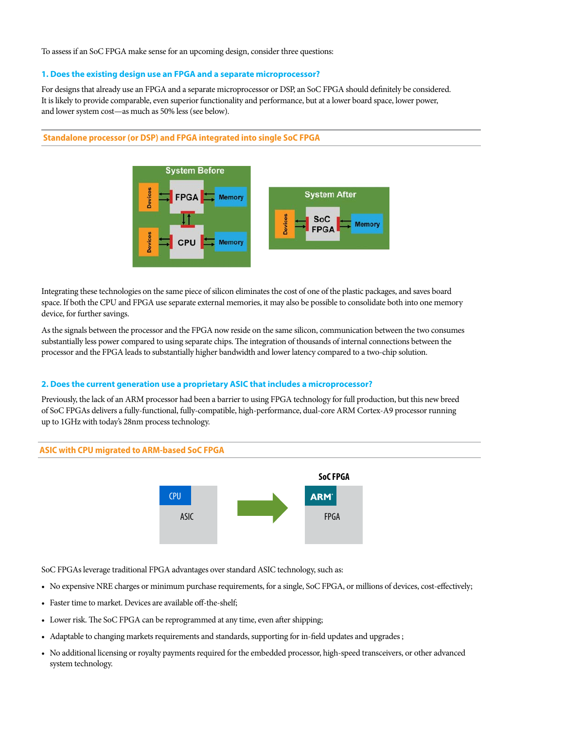To assess if an SoC FPGA make sense for an upcoming design, consider three questions:

#### **1. Does the existing design use an FPGA and a separate microprocessor?**

For designs that already use an FPGA and a separate microprocessor or DSP, an SoC FPGA should definitely be considered. It is likely to provide comparable, even superior functionality and performance, but at a lower board space, lower power, and lower system cost—as much as 50% less (see below).

#### **Standalone processor (or DSP) and FPGA integrated into single SoC FPGA**



Integrating these technologies on the same piece of silicon eliminates the cost of one of the plastic packages, and saves board space. If both the CPU and FPGA use separate external memories, it may also be possible to consolidate both into one memory device, for further savings.

As the signals between the processor and the FPGA now reside on the same silicon, communication between the two consumes substantially less power compared to using separate chips. The integration of thousands of internal connections between the processor and the FPGA leads to substantially higher bandwidth and lower latency compared to a two-chip solution.

## **2. Does the current generation use a proprietary ASIC that includes a microprocessor?**

Previously, the lack of an ARM processor had been a barrier to using FPGA technology for full production, but this new breed of SoC FPGAs delivers a fully-functional, fully-compatible, high-performance, dual-core ARM Cortex-A9 processor running up to 1GHz with today's 28nm process technology.





SoC FPGAs leverage traditional FPGA advantages over standard ASIC technology, such as:

- • No expensive NRE charges or minimum purchase requirements, for a single, SoC FPGA, or millions of devices, cost-effectively;
- Faster time to market. Devices are available off-the-shelf;
- Lower risk. The SoC FPGA can be reprogrammed at any time, even after shipping;
- • Adaptable to changing markets requirements and standards, supporting for in-field updates and upgrades ;
- • No additional licensing or royalty payments required for the embedded processor, high-speed transceivers, or other advanced system technology.